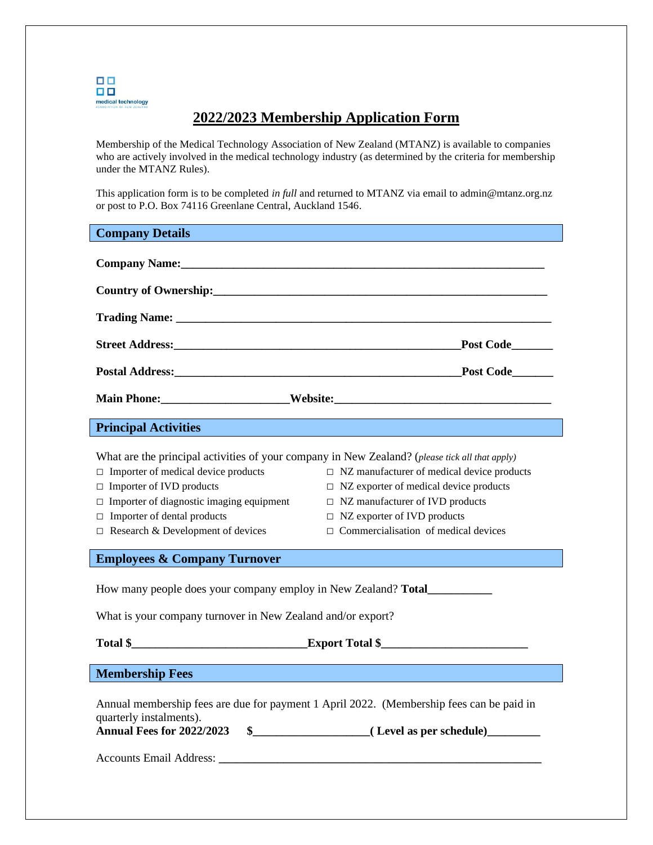

## **2022/2023 Membership Application Form**

Membership of the Medical Technology Association of New Zealand (MTANZ) is available to companies who are actively involved in the medical technology industry (as determined by the criteria for membership under the MTANZ Rules).

This application form is to be completed *in full* and returned to MTANZ via email to admin@mtanz.org.nz or post to P.O. Box 74116 Greenlane Central, Auckland 1546.

## **Company Details**

| Company Name: 1988 and 1989 and 1989 and 1989 and 1989 and 1989 and 1989 and 1989 and 1989 and 1989 and 1989 and 1989 and 1989 and 1989 and 1989 and 1989 and 1989 and 1989 and 1989 and 1989 and 1989 and 1989 and 1989 and 1                                                                                                                                                                                                                                                                                                                            |  |  |  |
|-----------------------------------------------------------------------------------------------------------------------------------------------------------------------------------------------------------------------------------------------------------------------------------------------------------------------------------------------------------------------------------------------------------------------------------------------------------------------------------------------------------------------------------------------------------|--|--|--|
|                                                                                                                                                                                                                                                                                                                                                                                                                                                                                                                                                           |  |  |  |
|                                                                                                                                                                                                                                                                                                                                                                                                                                                                                                                                                           |  |  |  |
| _Post Code_______                                                                                                                                                                                                                                                                                                                                                                                                                                                                                                                                         |  |  |  |
|                                                                                                                                                                                                                                                                                                                                                                                                                                                                                                                                                           |  |  |  |
|                                                                                                                                                                                                                                                                                                                                                                                                                                                                                                                                                           |  |  |  |
| <b>Principal Activities</b>                                                                                                                                                                                                                                                                                                                                                                                                                                                                                                                               |  |  |  |
| What are the principal activities of your company in New Zealand? (please tick all that apply)<br>$\Box$ Importer of medical device products<br>$\Box$ NZ manufacturer of medical device products<br>$\Box$ Importer of IVD products<br>$\Box$ NZ exporter of medical device products<br>$\Box$ Importer of diagnostic imaging equipment<br>$\Box$ NZ manufacturer of IVD products<br>$\Box$ Importer of dental products<br>$\Box$ NZ exporter of IVD products<br>$\Box$ Commercialisation of medical devices<br>$\Box$ Research & Development of devices |  |  |  |
| <b>Employees &amp; Company Turnover</b>                                                                                                                                                                                                                                                                                                                                                                                                                                                                                                                   |  |  |  |
| How many people does your company employ in New Zealand? Total___________________                                                                                                                                                                                                                                                                                                                                                                                                                                                                         |  |  |  |
| What is your company turnover in New Zealand and/or export?                                                                                                                                                                                                                                                                                                                                                                                                                                                                                               |  |  |  |
|                                                                                                                                                                                                                                                                                                                                                                                                                                                                                                                                                           |  |  |  |
| <b>Membership Fees</b>                                                                                                                                                                                                                                                                                                                                                                                                                                                                                                                                    |  |  |  |
| Annual membership fees are due for payment 1 April 2022. (Membership fees can be paid in<br>quarterly instalments).<br>Annual Fees for 2022/2023                                                                                                                                                                                                                                                                                                                                                                                                          |  |  |  |